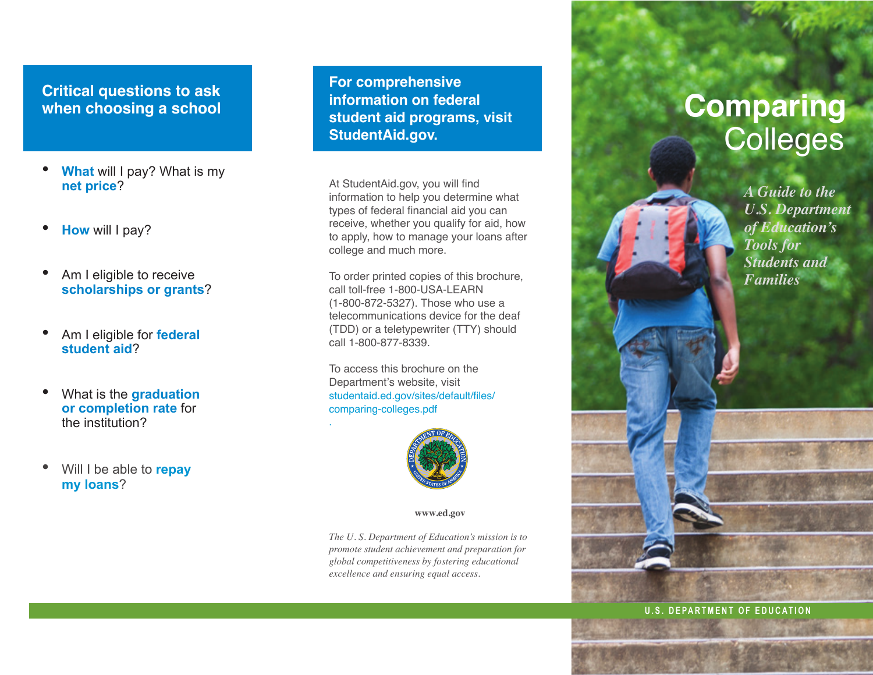# **Critical questions to ask when choosing a school**

- **What** will I pay? What is my **net price**?
- **How** will I pay?
- Am I eligible to receive **scholarships or grants**?
- Am I eligible for **federal student aid**?
- What is the **graduation or completion rate** for the institution?
- Will I be able to **repay my loans**?

**For comprehensive information on federal student aid programs, visit [StudentAid.gov.](https://studentaid.ed.gov/)** 

At [StudentAid.gov](https://studentaid.ed.gov/), you will find information to help you determine what types of federal financial aid you can receive, whether you qualify for aid, how to apply, how to manage your loans after college and much more.

To order printed copies of this brochure, call toll-free 1-800-USA-LEARN (1-800-872-5327). Those who use a telecommunications device for the deaf (TDD) or a teletypewriter (TTY) should call 1-800-877-8339.

To access this brochure on the Department's website, visit [studentaid.ed.gov/sites/default/files/](http://studentaid.ed.gov/sites/default/files/comparing-colleges.pdf) [comparing-colleges.pdf](http://studentaid.ed.gov/sites/default/files/comparing-colleges.pdf)

.



**<www.ed.gov>**

*The U. S. Department of Education's mission is to promote student achievement and preparation for global competitiveness by fostering educational excellence and ensuring equal access.*

# **Comparing Colleges**

*A Guide to the U.S. Department of Education's Tools for Students and Families*